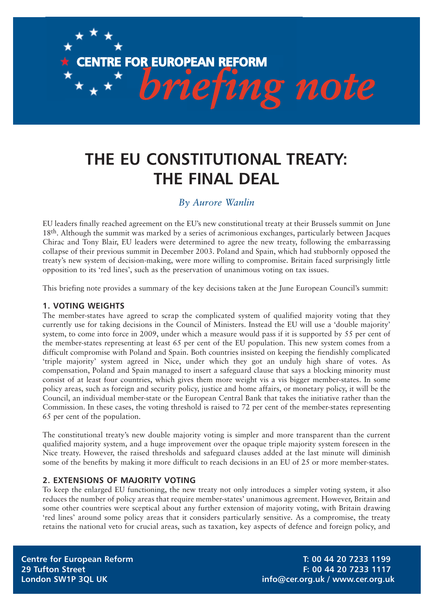# *briefing note* **CENTRE FOR EUROPEAN REFORM**

# **THE EU CONSTITUTIONAL TREATY: THE FINAL DEAL**

# *By Aurore Wanlin*

EU leaders finally reached agreement on the EU's new constitutional treaty at their Brussels summit on June 18th. Although the summit was marked by a series of acrimonious exchanges, particularly between Jacques Chirac and Tony Blair, EU leaders were determined to agree the new treaty, following the embarrassing collapse of their previous summit in December 2003. Poland and Spain, which had stubbornly opposed the treaty's new system of decision-making, were more willing to compromise. Britain faced surprisingly little opposition to its 'red lines', such as the preservation of unanimous voting on tax issues.

This briefing note provides a summary of the key decisions taken at the June European Council's summit:

### **1. VOTING WEIGHTS**

The member-states have agreed to scrap the complicated system of qualified majority voting that they currently use for taking decisions in the Council of Ministers. Instead the EU will use a 'double majority' system, to come into force in 2009, under which a measure would pass if it is supported by 55 per cent of the member-states representing at least 65 per cent of the EU population. This new system comes from a difficult compromise with Poland and Spain. Both countries insisted on keeping the fiendishly complicated 'triple majority' system agreed in Nice, under which they got an unduly high share of votes. As compensation, Poland and Spain managed to insert a safeguard clause that says a blocking minority must consist of at least four countries, which gives them more weight vis a vis bigger member-states. In some policy areas, such as foreign and security policy, justice and home affairs, or monetary policy, it will be the Council, an individual member-state or the European Central Bank that takes the initiative rather than the Commission. In these cases, the voting threshold is raised to 72 per cent of the member-states representing 65 per cent of the population.

The constitutional treaty's new double majority voting is simpler and more transparent than the current qualified majority system, and a huge improvement over the opaque triple majority system foreseen in the Nice treaty. However, the raised thresholds and safeguard clauses added at the last minute will diminish some of the benefits by making it more difficult to reach decisions in an EU of 25 or more member-states.

## **2. EXTENSIONS OF MAJORITY VOTING**

To keep the enlarged EU functioning, the new treaty not only introduces a simpler voting system, it also reduces the number of policy areas that require member-states' unanimous agreement. However, Britain and some other countries were sceptical about any further extension of majority voting, with Britain drawing 'red lines' around some policy areas that it considers particularly sensitive. As a compromise, the treaty retains the national veto for crucial areas, such as taxation, key aspects of defence and foreign policy, and

**Centre for European Reform T: 00 44 20 7233 1199 29 Tufton Street F: 00 44 20 7233 1117 London SW1P 3QL UK info@cer.org.uk / www.cer.org.uk**